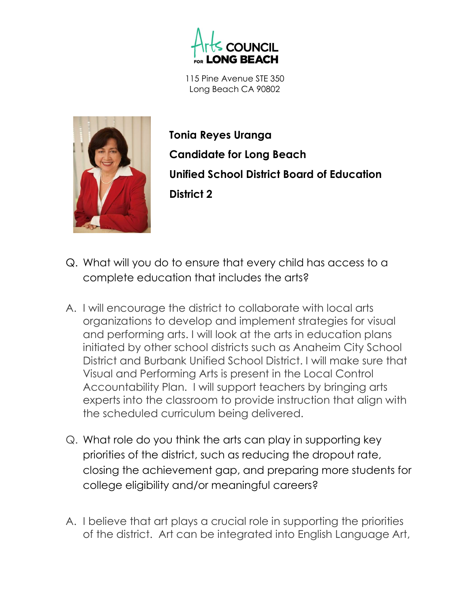

115 Pine Avenue STE 350 Long Beach CA 90802



Tonia Reyes Uranga Candidate for Long Beach Unified School District Board of Education District 2

- Q. What will you do to ensure that every child has access to a complete education that includes the arts?
- A. I will encourage the district to collaborate with local arts organizations to develop and implement strategies for visual and performing arts. I will look at the arts in education plans initiated by other school districts such as Anaheim City School District and Burbank Unified School District. I will make sure that Visual and Performing Arts is present in the Local Control Accountability Plan. I will support teachers by bringing arts experts into the classroom to provide instruction that align with the scheduled curriculum being delivered.
- Q. What role do you think the arts can play in supporting key priorities of the district, such as reducing the dropout rate, closing the achievement gap, and preparing more students for college eligibility and/or meaningful careers?
- A. I believe that art plays a crucial role in supporting the priorities of the district. Art can be integrated into English Language Art,